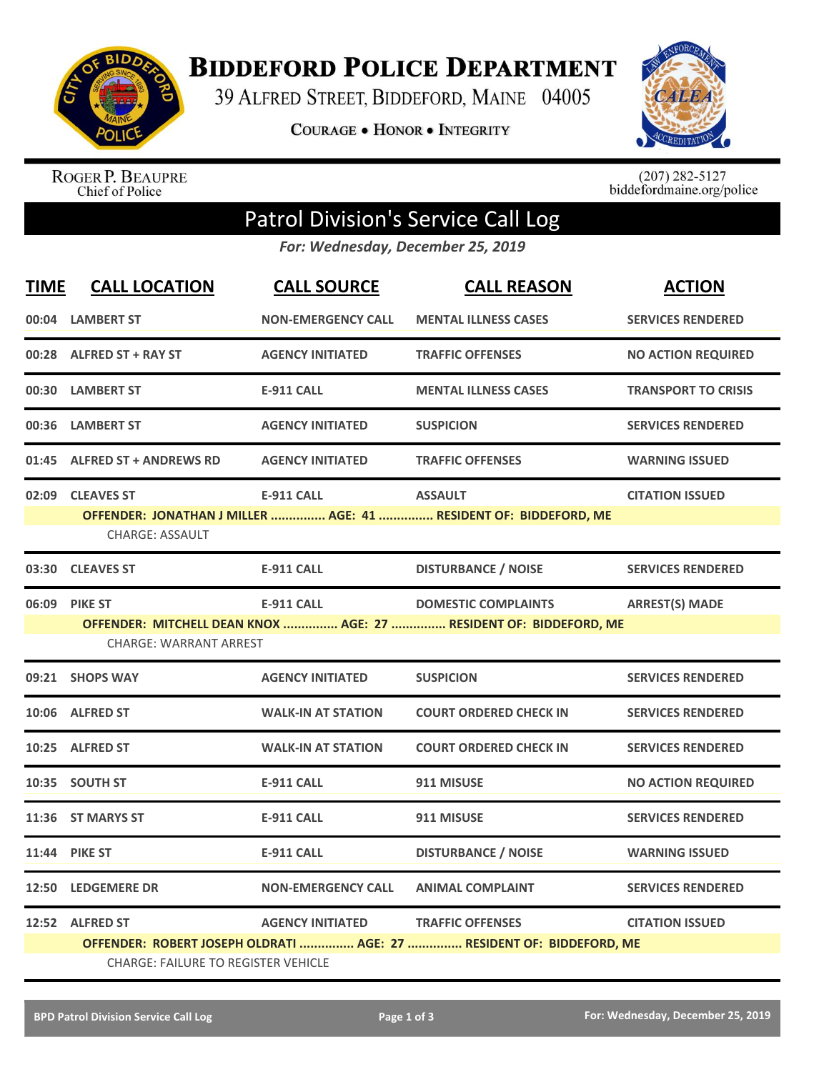

**BIDDEFORD POLICE DEPARTMENT** 

39 ALFRED STREET, BIDDEFORD, MAINE 04005

**COURAGE . HONOR . INTEGRITY** 



ROGER P. BEAUPRE<br>Chief of Police

 $(207)$  282-5127<br>biddefordmaine.org/police

## Patrol Division's Service Call Log

*For: Wednesday, December 25, 2019*

| <b>TIME</b> | <b>CALL LOCATION</b>                                          | <b>CALL SOURCE</b>        | <b>CALL REASON</b>                                                                              | <b>ACTION</b>              |
|-------------|---------------------------------------------------------------|---------------------------|-------------------------------------------------------------------------------------------------|----------------------------|
|             | 00:04 LAMBERT ST                                              | <b>NON-EMERGENCY CALL</b> | <b>MENTAL ILLNESS CASES</b>                                                                     | <b>SERVICES RENDERED</b>   |
|             | 00:28 ALFRED ST + RAY ST                                      | <b>AGENCY INITIATED</b>   | <b>TRAFFIC OFFENSES</b>                                                                         | <b>NO ACTION REQUIRED</b>  |
|             | 00:30 LAMBERT ST                                              | <b>E-911 CALL</b>         | <b>MENTAL ILLNESS CASES</b>                                                                     | <b>TRANSPORT TO CRISIS</b> |
| 00:36       | <b>LAMBERT ST</b>                                             | <b>AGENCY INITIATED</b>   | <b>SUSPICION</b>                                                                                | <b>SERVICES RENDERED</b>   |
|             | 01:45 ALFRED ST + ANDREWS RD                                  | <b>AGENCY INITIATED</b>   | <b>TRAFFIC OFFENSES</b>                                                                         | <b>WARNING ISSUED</b>      |
|             | 02:09 CLEAVES ST<br><b>CHARGE: ASSAULT</b>                    | <b>E-911 CALL</b>         | <b>ASSAULT</b><br>OFFENDER: JONATHAN J MILLER  AGE: 41  RESIDENT OF: BIDDEFORD, ME              | <b>CITATION ISSUED</b>     |
|             | 03:30 CLEAVES ST                                              | <b>E-911 CALL</b>         | <b>DISTURBANCE / NOISE</b>                                                                      | <b>SERVICES RENDERED</b>   |
|             | 06:09 PIKE ST<br><b>CHARGE: WARRANT ARREST</b>                | <b>E-911 CALL</b>         | <b>DOMESTIC COMPLAINTS</b><br>OFFENDER: MITCHELL DEAN KNOX  AGE: 27  RESIDENT OF: BIDDEFORD, ME | <b>ARREST(S) MADE</b>      |
|             | 09:21 SHOPS WAY                                               | <b>AGENCY INITIATED</b>   | <b>SUSPICION</b>                                                                                | <b>SERVICES RENDERED</b>   |
|             | 10:06 ALFRED ST                                               | <b>WALK-IN AT STATION</b> | <b>COURT ORDERED CHECK IN</b>                                                                   | <b>SERVICES RENDERED</b>   |
|             | 10:25 ALFRED ST                                               | <b>WALK-IN AT STATION</b> | <b>COURT ORDERED CHECK IN</b>                                                                   | <b>SERVICES RENDERED</b>   |
|             | 10:35 SOUTH ST                                                | <b>E-911 CALL</b>         | 911 MISUSE                                                                                      | <b>NO ACTION REQUIRED</b>  |
|             | 11:36 ST MARYS ST                                             | <b>E-911 CALL</b>         | 911 MISUSE                                                                                      | <b>SERVICES RENDERED</b>   |
|             | 11:44 PIKE ST                                                 | <b>E-911 CALL</b>         | <b>DISTURBANCE / NOISE</b>                                                                      | <b>WARNING ISSUED</b>      |
|             | 12:50 LEDGEMERE DR                                            | <b>NON-EMERGENCY CALL</b> | <b>ANIMAL COMPLAINT</b>                                                                         | <b>SERVICES RENDERED</b>   |
|             | 12:52 ALFRED ST<br><b>CHARGE: FAILURE TO REGISTER VEHICLE</b> | <b>AGENCY INITIATED</b>   | <b>TRAFFIC OFFENSES</b><br>OFFENDER: ROBERT JOSEPH OLDRATI  AGE: 27  RESIDENT OF: BIDDEFORD, ME | <b>CITATION ISSUED</b>     |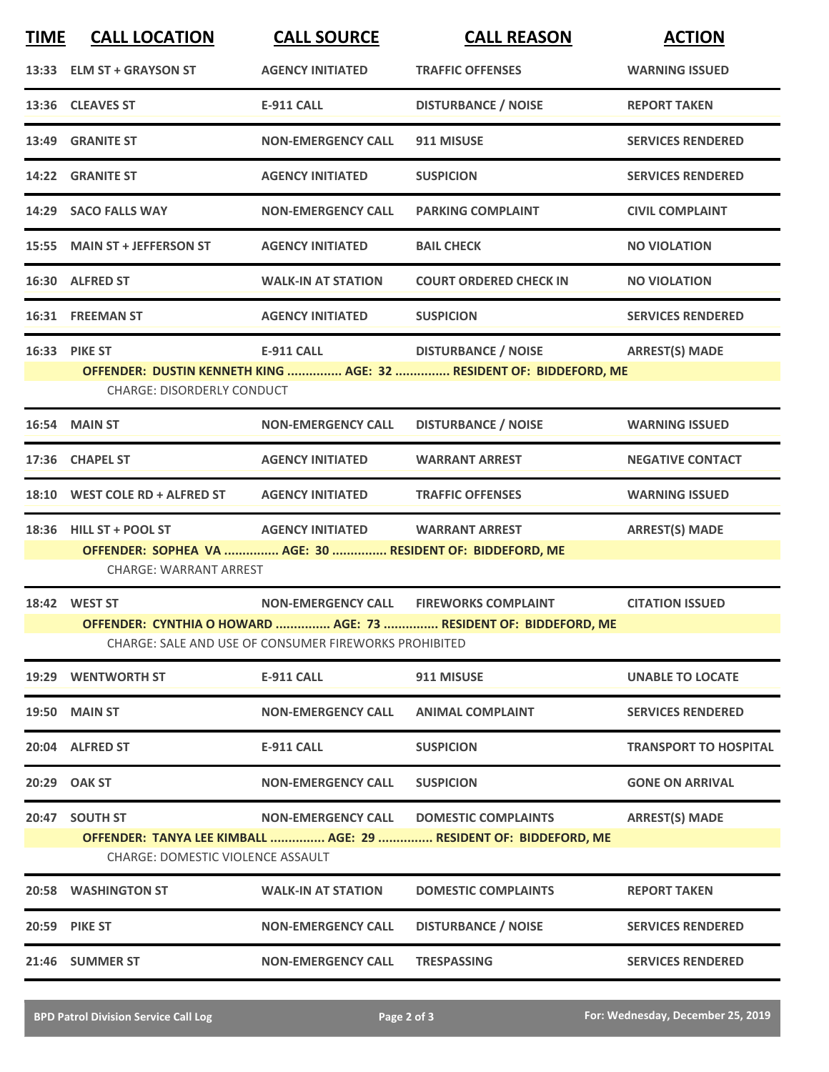| <b>TIME</b> | <b>CALL LOCATION</b>                                                                                                 | <b>CALL SOURCE</b>                                    | <b>CALL REASON</b>                                                                               | <b>ACTION</b>                |
|-------------|----------------------------------------------------------------------------------------------------------------------|-------------------------------------------------------|--------------------------------------------------------------------------------------------------|------------------------------|
|             | 13:33 ELM ST + GRAYSON ST                                                                                            | <b>AGENCY INITIATED</b>                               | <b>TRAFFIC OFFENSES</b>                                                                          | <b>WARNING ISSUED</b>        |
|             | 13:36 CLEAVES ST                                                                                                     | <b>E-911 CALL</b>                                     | <b>DISTURBANCE / NOISE</b>                                                                       | <b>REPORT TAKEN</b>          |
|             | 13:49 GRANITE ST                                                                                                     | <b>NON-EMERGENCY CALL</b>                             | 911 MISUSE                                                                                       | <b>SERVICES RENDERED</b>     |
|             | 14:22 GRANITE ST                                                                                                     | <b>AGENCY INITIATED</b>                               | <b>SUSPICION</b>                                                                                 | <b>SERVICES RENDERED</b>     |
|             | 14:29 SACO FALLS WAY                                                                                                 | <b>NON-EMERGENCY CALL</b>                             | <b>PARKING COMPLAINT</b>                                                                         | <b>CIVIL COMPLAINT</b>       |
|             | 15:55 MAIN ST + JEFFERSON ST                                                                                         | <b>AGENCY INITIATED</b>                               | <b>BAIL CHECK</b>                                                                                | <b>NO VIOLATION</b>          |
|             | 16:30 ALFRED ST                                                                                                      | <b>WALK-IN AT STATION</b>                             | <b>COURT ORDERED CHECK IN</b>                                                                    | <b>NO VIOLATION</b>          |
|             | 16:31 FREEMAN ST                                                                                                     | <b>AGENCY INITIATED</b>                               | <b>SUSPICION</b>                                                                                 | <b>SERVICES RENDERED</b>     |
|             | 16:33 PIKE ST<br><b>CHARGE: DISORDERLY CONDUCT</b>                                                                   | <b>E-911 CALL</b>                                     | <b>DISTURBANCE / NOISE</b><br>OFFENDER: DUSTIN KENNETH KING  AGE: 32  RESIDENT OF: BIDDEFORD, ME | <b>ARREST(S) MADE</b>        |
|             | 16:54 MAIN ST                                                                                                        | <b>NON-EMERGENCY CALL</b>                             | <b>DISTURBANCE / NOISE</b>                                                                       | <b>WARNING ISSUED</b>        |
|             | 17:36 CHAPEL ST                                                                                                      | <b>AGENCY INITIATED</b>                               | <b>WARRANT ARREST</b>                                                                            | <b>NEGATIVE CONTACT</b>      |
|             | 18:10 WEST COLE RD + ALFRED ST AGENCY INITIATED                                                                      |                                                       | <b>TRAFFIC OFFENSES</b>                                                                          | <b>WARNING ISSUED</b>        |
|             | 18:36 HILL ST + POOL ST<br>OFFENDER: SOPHEA VA  AGE: 30  RESIDENT OF: BIDDEFORD, ME<br><b>CHARGE: WARRANT ARREST</b> | AGENCY INITIATED WARRANT ARREST                       |                                                                                                  | <b>ARREST(S) MADE</b>        |
|             | <b>18:42 WEST ST</b>                                                                                                 |                                                       | NON-EMERGENCY CALL FIREWORKS COMPLAINT                                                           | <b>CITATION ISSUED</b>       |
|             |                                                                                                                      | CHARGE: SALE AND USE OF CONSUMER FIREWORKS PROHIBITED | OFFENDER: CYNTHIA O HOWARD  AGE: 73  RESIDENT OF: BIDDEFORD, ME                                  |                              |
|             | 19:29 WENTWORTH ST                                                                                                   | <b>E-911 CALL</b>                                     | 911 MISUSE                                                                                       | <b>UNABLE TO LOCATE</b>      |
|             | <b>19:50 MAIN ST</b>                                                                                                 | <b>NON-EMERGENCY CALL</b>                             | <b>ANIMAL COMPLAINT</b>                                                                          | <b>SERVICES RENDERED</b>     |
|             | 20:04 ALFRED ST                                                                                                      | <b>E-911 CALL</b>                                     | <b>SUSPICION</b>                                                                                 | <b>TRANSPORT TO HOSPITAL</b> |
|             | 20:29 OAK ST                                                                                                         | <b>NON-EMERGENCY CALL</b>                             | <b>SUSPICION</b>                                                                                 | <b>GONE ON ARRIVAL</b>       |
|             | 20:47 SOUTH ST<br><b>CHARGE: DOMESTIC VIOLENCE ASSAULT</b>                                                           | <b>NON-EMERGENCY CALL</b>                             | <b>DOMESTIC COMPLAINTS</b><br>OFFENDER: TANYA LEE KIMBALL  AGE: 29  RESIDENT OF: BIDDEFORD, ME   | <b>ARREST(S) MADE</b>        |
|             | 20:58 WASHINGTON ST                                                                                                  | <b>WALK-IN AT STATION</b>                             | <b>DOMESTIC COMPLAINTS</b>                                                                       | <b>REPORT TAKEN</b>          |
|             | 20:59 PIKE ST                                                                                                        | <b>NON-EMERGENCY CALL</b>                             | <b>DISTURBANCE / NOISE</b>                                                                       | <b>SERVICES RENDERED</b>     |
|             | 21:46 SUMMER ST                                                                                                      | <b>NON-EMERGENCY CALL</b>                             | <b>TRESPASSING</b>                                                                               | <b>SERVICES RENDERED</b>     |